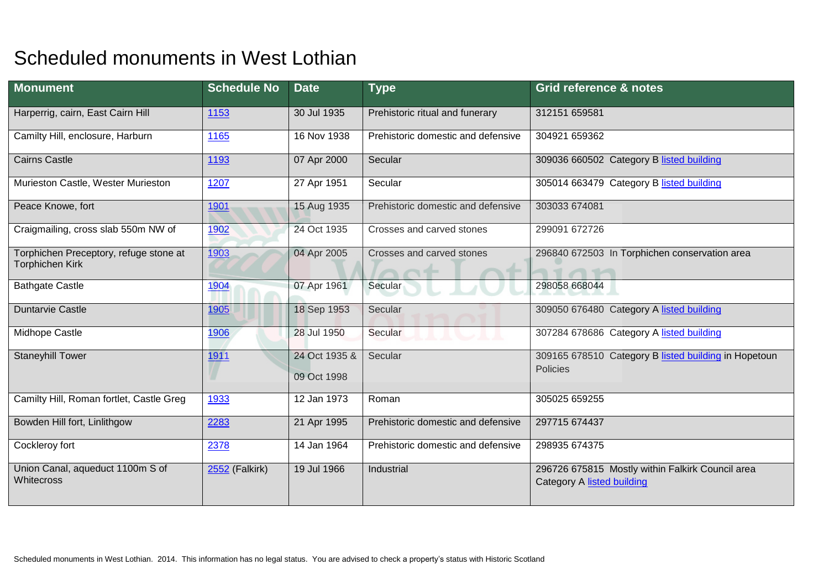## Scheduled monuments in West Lothian

| <b>Monument</b>                                           | <b>Schedule No</b> | <b>Date</b>                  | <b>Type</b>                        | <b>Grid reference &amp; notes</b>                                              |
|-----------------------------------------------------------|--------------------|------------------------------|------------------------------------|--------------------------------------------------------------------------------|
| Harperrig, cairn, East Cairn Hill                         | 1153               | 30 Jul 1935                  | Prehistoric ritual and funerary    | 312151 659581                                                                  |
| Camilty Hill, enclosure, Harburn                          | 1165               | 16 Nov 1938                  | Prehistoric domestic and defensive | 304921 659362                                                                  |
| <b>Cairns Castle</b>                                      | 1193               | 07 Apr 2000                  | Secular                            | 309036 660502 Category B listed building                                       |
| Murieston Castle, Wester Murieston                        | 1207               | 27 Apr 1951                  | Secular                            | 305014 663479 Category B listed building                                       |
| Peace Knowe, fort                                         | 1901               | 15 Aug 1935                  | Prehistoric domestic and defensive | 303033 674081                                                                  |
| Craigmailing, cross slab 550m NW of                       | 1902               | 24 Oct 1935                  | Crosses and carved stones          | 299091 672726                                                                  |
| Torphichen Preceptory, refuge stone at<br>Torphichen Kirk | 1903               | 04 Apr 2005                  | Crosses and carved stones          | 296840 672503 In Torphichen conservation area<br>$\bigcap$ $\bigcap$           |
| <b>Bathgate Castle</b>                                    | 1904               | 07 Apr 1961                  | Secular                            | 298058 668044                                                                  |
| <b>Duntarvie Castle</b>                                   | 1905               | 18 Sep 1953                  | Secular                            | 309050 676480 Category A listed building                                       |
| Midhope Castle                                            | 1906               | 28 Jul 1950                  | Secular                            | 307284 678686 Category A listed building                                       |
| <b>Staneyhill Tower</b>                                   | 1911               | 24 Oct 1935 &<br>09 Oct 1998 | Secular                            | 309165 678510 Category B listed building in Hopetoun<br><b>Policies</b>        |
| Camilty Hill, Roman fortlet, Castle Greg                  | 1933               | 12 Jan 1973                  | Roman                              | 305025 659255                                                                  |
| Bowden Hill fort, Linlithgow                              | 2283               | 21 Apr 1995                  | Prehistoric domestic and defensive | 297715 674437                                                                  |
| Cockleroy fort                                            | 2378               | 14 Jan 1964                  | Prehistoric domestic and defensive | 298935 674375                                                                  |
| Union Canal, aqueduct 1100m S of<br>Whitecross            | 2552 (Falkirk)     | 19 Jul 1966                  | Industrial                         | 296726 675815 Mostly within Falkirk Council area<br>Category A listed building |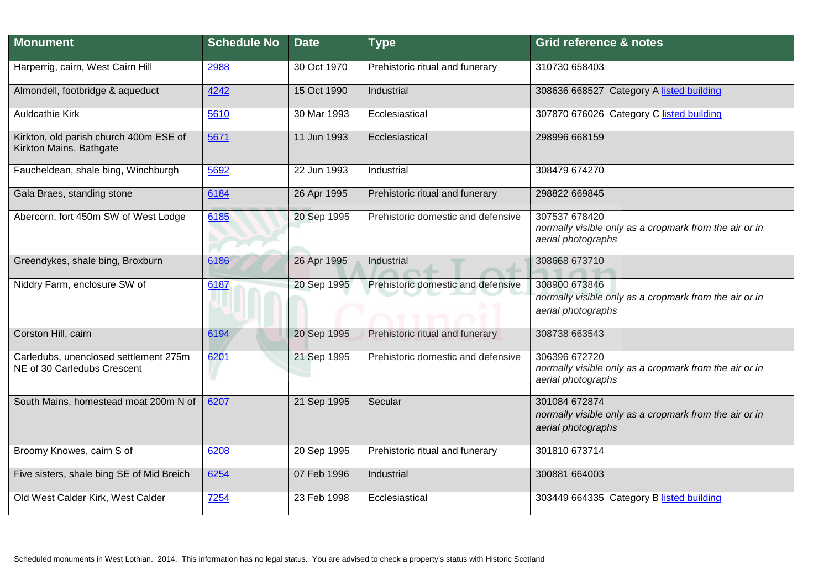| <b>Monument</b>                                                      | <b>Schedule No</b> | <b>Date</b> | <b>Type</b>                        | <b>Grid reference &amp; notes</b>                                                             |
|----------------------------------------------------------------------|--------------------|-------------|------------------------------------|-----------------------------------------------------------------------------------------------|
| Harperrig, cairn, West Cairn Hill                                    | 2988               | 30 Oct 1970 | Prehistoric ritual and funerary    | 310730 658403                                                                                 |
| Almondell, footbridge & aqueduct                                     | 4242               | 15 Oct 1990 | Industrial                         | 308636 668527 Category A listed building                                                      |
| <b>Auldcathie Kirk</b>                                               | 5610               | 30 Mar 1993 | Ecclesiastical                     | 307870 676026 Category C listed building                                                      |
| Kirkton, old parish church 400m ESE of<br>Kirkton Mains, Bathgate    | 5671               | 11 Jun 1993 | Ecclesiastical                     | 298996 668159                                                                                 |
| Faucheldean, shale bing, Winchburgh                                  | 5692               | 22 Jun 1993 | Industrial                         | 308479 674270                                                                                 |
| Gala Braes, standing stone                                           | 6184               | 26 Apr 1995 | Prehistoric ritual and funerary    | 298822 669845                                                                                 |
| Abercorn, fort 450m SW of West Lodge                                 | 6185               | 20 Sep 1995 | Prehistoric domestic and defensive | 307537 678420<br>normally visible only as a cropmark from the air or in<br>aerial photographs |
| Greendykes, shale bing, Broxburn                                     | 6186               | 26 Apr 1995 | Industrial                         | 308668 673710                                                                                 |
| Niddry Farm, enclosure SW of                                         | 6187               | 20 Sep 1995 | Prehistoric domestic and defensive | 308900 673846<br>normally visible only as a cropmark from the air or in<br>aerial photographs |
| Corston Hill, cairn                                                  | 6194               | 20 Sep 1995 | Prehistoric ritual and funerary    | 308738 663543                                                                                 |
| Carledubs, unenclosed settlement 275m<br>NE of 30 Carledubs Crescent | 6201               | 21 Sep 1995 | Prehistoric domestic and defensive | 306396 672720<br>normally visible only as a cropmark from the air or in<br>aerial photographs |
| South Mains, homestead moat 200m N of                                | 6207               | 21 Sep 1995 | Secular                            | 301084 672874<br>normally visible only as a cropmark from the air or in<br>aerial photographs |
| Broomy Knowes, cairn S of                                            | 6208               | 20 Sep 1995 | Prehistoric ritual and funerary    | 301810 673714                                                                                 |
| Five sisters, shale bing SE of Mid Breich                            | 6254               | 07 Feb 1996 | Industrial                         | 300881 664003                                                                                 |
| Old West Calder Kirk, West Calder                                    | 7254               | 23 Feb 1998 | Ecclesiastical                     | 303449 664335 Category B listed building                                                      |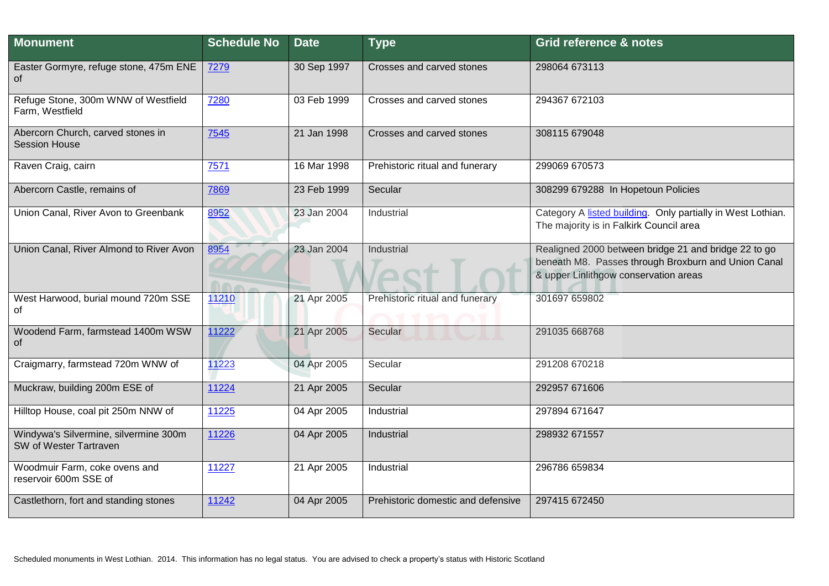| <b>Monument</b>                                                 | <b>Schedule No</b> | <b>Date</b> | <b>Type</b>                        | Grid reference & notes                                                                                                                               |
|-----------------------------------------------------------------|--------------------|-------------|------------------------------------|------------------------------------------------------------------------------------------------------------------------------------------------------|
| Easter Gormyre, refuge stone, 475m ENE<br>0f                    | 7279               | 30 Sep 1997 | Crosses and carved stones          | 298064 673113                                                                                                                                        |
| Refuge Stone, 300m WNW of Westfield<br>Farm, Westfield          | 7280               | 03 Feb 1999 | Crosses and carved stones          | 294367 672103                                                                                                                                        |
| Abercorn Church, carved stones in<br><b>Session House</b>       | 7545               | 21 Jan 1998 | Crosses and carved stones          | 308115 679048                                                                                                                                        |
| Raven Craig, cairn                                              | 7571               | 16 Mar 1998 | Prehistoric ritual and funerary    | 299069 670573                                                                                                                                        |
| Abercorn Castle, remains of                                     | 7869               | 23 Feb 1999 | Secular                            | 308299 679288 In Hopetoun Policies                                                                                                                   |
| Union Canal, River Avon to Greenbank                            | 8952               | 23 Jan 2004 | Industrial                         | Category A listed building. Only partially in West Lothian.<br>The majority is in Falkirk Council area                                               |
| Union Canal, River Almond to River Avon                         | 8954<br>000        | 23 Jan 2004 | Industrial                         | Realigned 2000 between bridge 21 and bridge 22 to go<br>beneath M8. Passes through Broxburn and Union Canal<br>& upper Linlithgow conservation areas |
| West Harwood, burial mound 720m SSE<br>οf                       | 11210              | 21 Apr 2005 | Prehistoric ritual and funerary    | 301697 659802                                                                                                                                        |
| Woodend Farm, farmstead 1400m WSW<br>οf                         | 11222              | 21 Apr 2005 | Secular                            | 291035 668768                                                                                                                                        |
| Craigmarry, farmstead 720m WNW of                               | 11223              | 04 Apr 2005 | Secular                            | 291208 670218                                                                                                                                        |
| Muckraw, building 200m ESE of                                   | 11224              | 21 Apr 2005 | Secular                            | 292957 671606                                                                                                                                        |
| Hilltop House, coal pit 250m NNW of                             | 11225              | 04 Apr 2005 | Industrial                         | 297894 671647                                                                                                                                        |
| Windywa's Silvermine, silvermine 300m<br>SW of Wester Tartraven | 11226              | 04 Apr 2005 | Industrial                         | 298932 671557                                                                                                                                        |
| Woodmuir Farm, coke ovens and<br>reservoir 600m SSE of          | 11227              | 21 Apr 2005 | Industrial                         | 296786 659834                                                                                                                                        |
| Castlethorn, fort and standing stones                           | 11242              | 04 Apr 2005 | Prehistoric domestic and defensive | 297415 672450                                                                                                                                        |